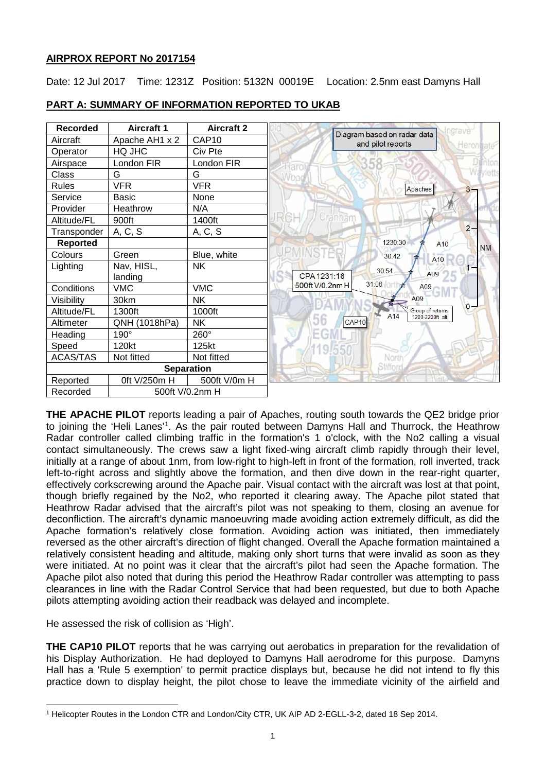# **AIRPROX REPORT No 2017154**

Date: 12 Jul 2017 Time: 1231Z Position: 5132N 00019E Location: 2.5nm east Damyns Hall

| <b>Recorded</b>   | <b>Aircraft 1</b> | <b>Aircraft 2</b> | Ingrave                                                         |
|-------------------|-------------------|-------------------|-----------------------------------------------------------------|
| Aircraft          | Apache AH1 x 2    | CAP <sub>10</sub> | Diagram based on radar data<br>and pilot reports<br>Heron ate   |
| Operator          | HQ JHC            | Civ Pte           |                                                                 |
| Airspace          | London FIR        | London FIR        | <b>Di</b> ntor                                                  |
| Class             | G                 | G                 | Wayletts                                                        |
| <b>Rules</b>      | <b>VFR</b>        | <b>VFR</b>        | Apaches<br>$3 -$                                                |
| Service           | <b>Basic</b>      | None              |                                                                 |
| Provider          | Heathrow          | N/A               |                                                                 |
| Altitude/FL       | 900ft             | 1400ft            | Cranham                                                         |
| Transponder       | A, C, S           | A, C, S           | $2 -$                                                           |
| <b>Reported</b>   |                   |                   | 1230:30<br>A <sub>10</sub><br><b>NM</b>                         |
| Colours           | Green             | Blue, white       | 30:42<br>A <sub>10</sub>                                        |
| Lighting          | Nav, HISL,        | <b>NK</b>         | 30:54                                                           |
|                   | landing           |                   | A09<br>CPA 1231:18                                              |
| Conditions        | <b>VMC</b>        | <b>VMC</b>        | 31:06<br>500ft V/0.2nm H<br>A09<br>m                            |
| Visibility        | 30km              | <b>NK</b>         | A09                                                             |
| Altitude/FL       | 1300ft            | 1000ft            | $0 -$<br>Group of returns<br>A <sub>14</sub><br>1200-2200ft alt |
| Altimeter         | QNH (1018hPa)     | <b>NK</b>         | 56<br>CAP <sub>10</sub>                                         |
| Heading           | 190°              | 260°              |                                                                 |
| Speed             | 120kt             | 125kt             |                                                                 |
| <b>ACAS/TAS</b>   | Not fitted        | Not fitted        | North                                                           |
| <b>Separation</b> |                   |                   | Stifford                                                        |
| Reported          | 0ft V/250m H      | 500ft V/0m H      |                                                                 |
| Recorded          | 500ft V/0.2nm H   |                   |                                                                 |

# **PART A: SUMMARY OF INFORMATION REPORTED TO UKAB**

**THE APACHE PILOT** reports leading a pair of Apaches, routing south towards the QE2 bridge prior to joining the 'Heli Lanes'<sup>[1](#page-0-0)</sup>. As the pair routed between Damyns Hall and Thurrock, the Heathrow Radar controller called climbing traffic in the formation's 1 o'clock, with the No2 calling a visual contact simultaneously. The crews saw a light fixed-wing aircraft climb rapidly through their level, initially at a range of about 1nm, from low-right to high-left in front of the formation, roll inverted, track left-to-right across and slightly above the formation, and then dive down in the rear-right quarter, effectively corkscrewing around the Apache pair. Visual contact with the aircraft was lost at that point, though briefly regained by the No2, who reported it clearing away. The Apache pilot stated that Heathrow Radar advised that the aircraft's pilot was not speaking to them, closing an avenue for deconfliction. The aircraft's dynamic manoeuvring made avoiding action extremely difficult, as did the Apache formation's relatively close formation. Avoiding action was initiated, then immediately reversed as the other aircraft's direction of flight changed. Overall the Apache formation maintained a relatively consistent heading and altitude, making only short turns that were invalid as soon as they were initiated. At no point was it clear that the aircraft's pilot had seen the Apache formation. The Apache pilot also noted that during this period the Heathrow Radar controller was attempting to pass clearances in line with the Radar Control Service that had been requested, but due to both Apache pilots attempting avoiding action their readback was delayed and incomplete.

He assessed the risk of collision as 'High'.

 $\overline{\phantom{a}}$ 

**THE CAP10 PILOT** reports that he was carrying out aerobatics in preparation for the revalidation of his Display Authorization. He had deployed to Damyns Hall aerodrome for this purpose. Damyns Hall has a 'Rule 5 exemption' to permit practice displays but, because he did not intend to fly this practice down to display height, the pilot chose to leave the immediate vicinity of the airfield and

<span id="page-0-0"></span><sup>1</sup> Helicopter Routes in the London CTR and London/City CTR, UK AIP AD 2-EGLL-3-2, dated 18 Sep 2014.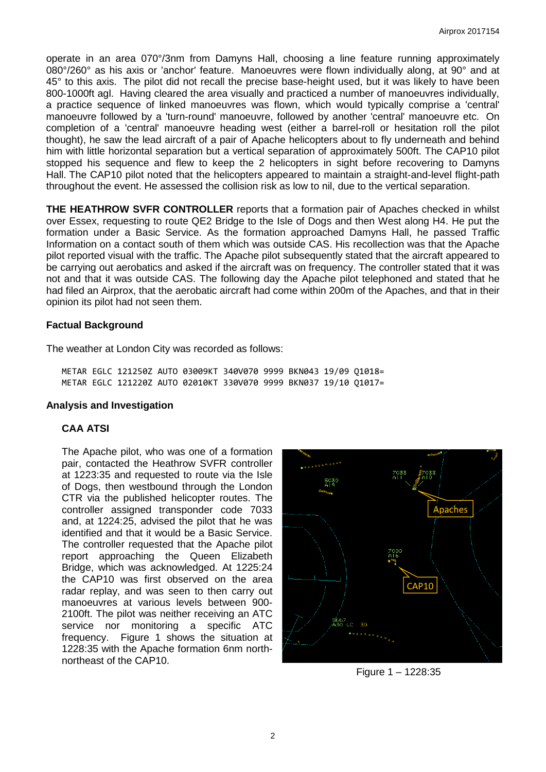operate in an area 070°/3nm from Damyns Hall, choosing a line feature running approximately 080°/260° as his axis or 'anchor' feature. Manoeuvres were flown individually along, at 90° and at 45° to this axis. The pilot did not recall the precise base-height used, but it was likely to have been 800-1000ft agl. Having cleared the area visually and practiced a number of manoeuvres individually, a practice sequence of linked manoeuvres was flown, which would typically comprise a 'central' manoeuvre followed by a 'turn-round' manoeuvre, followed by another 'central' manoeuvre etc. On completion of a 'central' manoeuvre heading west (either a barrel-roll or hesitation roll the pilot thought), he saw the lead aircraft of a pair of Apache helicopters about to fly underneath and behind him with little horizontal separation but a vertical separation of approximately 500ft. The CAP10 pilot stopped his sequence and flew to keep the 2 helicopters in sight before recovering to Damyns Hall. The CAP10 pilot noted that the helicopters appeared to maintain a straight-and-level flight-path throughout the event. He assessed the collision risk as low to nil, due to the vertical separation.

**THE HEATHROW SVFR CONTROLLER** reports that a formation pair of Apaches checked in whilst over Essex, requesting to route QE2 Bridge to the Isle of Dogs and then West along H4. He put the formation under a Basic Service. As the formation approached Damyns Hall, he passed Traffic Information on a contact south of them which was outside CAS. His recollection was that the Apache pilot reported visual with the traffic. The Apache pilot subsequently stated that the aircraft appeared to be carrying out aerobatics and asked if the aircraft was on frequency. The controller stated that it was not and that it was outside CAS. The following day the Apache pilot telephoned and stated that he had filed an Airprox, that the aerobatic aircraft had come within 200m of the Apaches, and that in their opinion its pilot had not seen them.

# **Factual Background**

The weather at London City was recorded as follows:

METAR EGLC 121250Z AUTO 03009KT 340V070 9999 BKN043 19/09 Q1018= METAR EGLC 121220Z AUTO 02010KT 330V070 9999 BKN037 19/10 Q1017=

#### **Analysis and Investigation**

#### **CAA ATSI**

The Apache pilot, who was one of a formation pair, contacted the Heathrow SVFR controller at 1223:35 and requested to route via the Isle of Dogs, then westbound through the London CTR via the published helicopter routes. The controller assigned transponder code 7033 and, at 1224:25, advised the pilot that he was identified and that it would be a Basic Service. The controller requested that the Apache pilot report approaching the Queen Elizabeth Bridge, which was acknowledged. At 1225:24 the CAP10 was first observed on the area radar replay, and was seen to then carry out manoeuvres at various levels between 900- 2100ft. The pilot was neither receiving an ATC service nor monitoring a specific ATC frequency. Figure 1 shows the situation at 1228:35 with the Apache formation 6nm northnortheast of the CAP10.



Figure 1 – 1228:35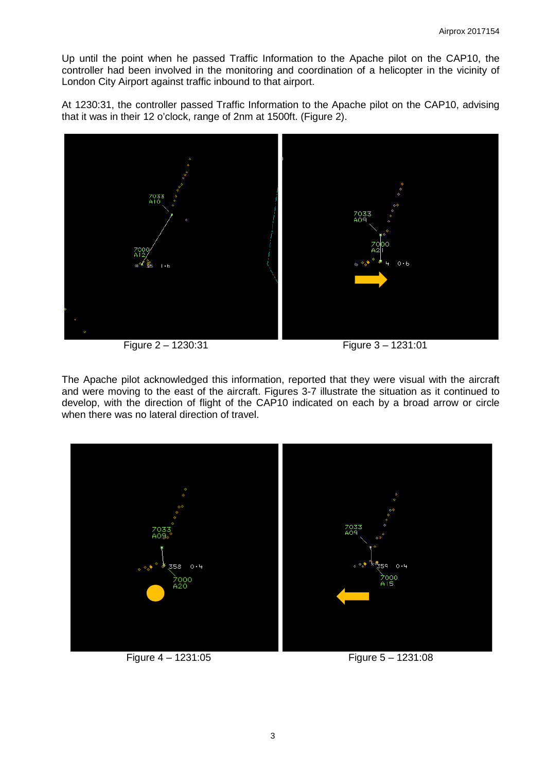Up until the point when he passed Traffic Information to the Apache pilot on the CAP10, the controller had been involved in the monitoring and coordination of a helicopter in the vicinity of London City Airport against traffic inbound to that airport.

At 1230:31, the controller passed Traffic Information to the Apache pilot on the CAP10, advising that it was in their 12 o'clock, range of 2nm at 1500ft. (Figure 2).



Figure 2 – 1230:31 Figure 3 – 1231:01

The Apache pilot acknowledged this information, reported that they were visual with the aircraft and were moving to the east of the aircraft. Figures 3-7 illustrate the situation as it continued to develop, with the direction of flight of the CAP10 indicated on each by a broad arrow or circle when there was no lateral direction of travel.



Figure 4 – 1231:05 Figure 5 – 1231:08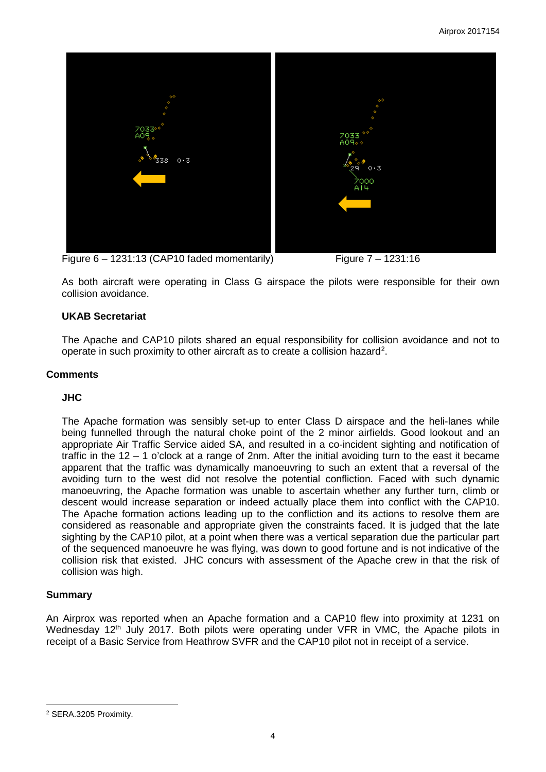

Figure  $6 - 1231:13$  (CAP10 faded momentarily) Figure  $7 - 1231:16$ 

As both aircraft were operating in Class G airspace the pilots were responsible for their own collision avoidance.

### **UKAB Secretariat**

The Apache and CAP10 pilots shared an equal responsibility for collision avoidance and not to operate in such proximity to other aircraft as to create a collision hazard<sup>[2](#page-3-0)</sup>.

### **Comments**

#### **JHC**

The Apache formation was sensibly set-up to enter Class D airspace and the heli-lanes while being funnelled through the natural choke point of the 2 minor airfields. Good lookout and an appropriate Air Traffic Service aided SA, and resulted in a co-incident sighting and notification of traffic in the 12 – 1 o'clock at a range of 2nm. After the initial avoiding turn to the east it became apparent that the traffic was dynamically manoeuvring to such an extent that a reversal of the avoiding turn to the west did not resolve the potential confliction. Faced with such dynamic manoeuvring, the Apache formation was unable to ascertain whether any further turn, climb or descent would increase separation or indeed actually place them into conflict with the CAP10. The Apache formation actions leading up to the confliction and its actions to resolve them are considered as reasonable and appropriate given the constraints faced. It is judged that the late sighting by the CAP10 pilot, at a point when there was a vertical separation due the particular part of the sequenced manoeuvre he was flying, was down to good fortune and is not indicative of the collision risk that existed. JHC concurs with assessment of the Apache crew in that the risk of collision was high.

# **Summary**

 $\overline{\phantom{a}}$ 

An Airprox was reported when an Apache formation and a CAP10 flew into proximity at 1231 on Wednesday 12<sup>th</sup> July 2017. Both pilots were operating under VFR in VMC, the Apache pilots in receipt of a Basic Service from Heathrow SVFR and the CAP10 pilot not in receipt of a service.

<span id="page-3-0"></span><sup>2</sup> SERA.3205 Proximity.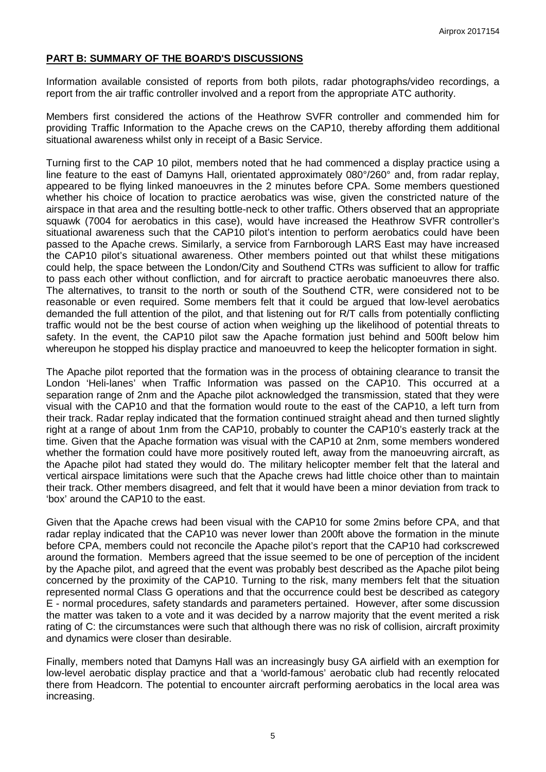## **PART B: SUMMARY OF THE BOARD'S DISCUSSIONS**

Information available consisted of reports from both pilots, radar photographs/video recordings, a report from the air traffic controller involved and a report from the appropriate ATC authority.

Members first considered the actions of the Heathrow SVFR controller and commended him for providing Traffic Information to the Apache crews on the CAP10, thereby affording them additional situational awareness whilst only in receipt of a Basic Service.

Turning first to the CAP 10 pilot, members noted that he had commenced a display practice using a line feature to the east of Damyns Hall, orientated approximately 080°/260° and, from radar replay, appeared to be flying linked manoeuvres in the 2 minutes before CPA. Some members questioned whether his choice of location to practice aerobatics was wise, given the constricted nature of the airspace in that area and the resulting bottle-neck to other traffic. Others observed that an appropriate squawk (7004 for aerobatics in this case), would have increased the Heathrow SVFR controller's situational awareness such that the CAP10 pilot's intention to perform aerobatics could have been passed to the Apache crews. Similarly, a service from Farnborough LARS East may have increased the CAP10 pilot's situational awareness. Other members pointed out that whilst these mitigations could help, the space between the London/City and Southend CTRs was sufficient to allow for traffic to pass each other without confliction, and for aircraft to practice aerobatic manoeuvres there also. The alternatives, to transit to the north or south of the Southend CTR, were considered not to be reasonable or even required. Some members felt that it could be argued that low-level aerobatics demanded the full attention of the pilot, and that listening out for R/T calls from potentially conflicting traffic would not be the best course of action when weighing up the likelihood of potential threats to safety. In the event, the CAP10 pilot saw the Apache formation just behind and 500ft below him whereupon he stopped his display practice and manoeuvred to keep the helicopter formation in sight.

The Apache pilot reported that the formation was in the process of obtaining clearance to transit the London 'Heli-lanes' when Traffic Information was passed on the CAP10. This occurred at a separation range of 2nm and the Apache pilot acknowledged the transmission, stated that they were visual with the CAP10 and that the formation would route to the east of the CAP10, a left turn from their track. Radar replay indicated that the formation continued straight ahead and then turned slightly right at a range of about 1nm from the CAP10, probably to counter the CAP10's easterly track at the time. Given that the Apache formation was visual with the CAP10 at 2nm, some members wondered whether the formation could have more positively routed left, away from the manoeuvring aircraft, as the Apache pilot had stated they would do. The military helicopter member felt that the lateral and vertical airspace limitations were such that the Apache crews had little choice other than to maintain their track. Other members disagreed, and felt that it would have been a minor deviation from track to 'box' around the CAP10 to the east.

Given that the Apache crews had been visual with the CAP10 for some 2mins before CPA, and that radar replay indicated that the CAP10 was never lower than 200ft above the formation in the minute before CPA, members could not reconcile the Apache pilot's report that the CAP10 had corkscrewed around the formation. Members agreed that the issue seemed to be one of perception of the incident by the Apache pilot, and agreed that the event was probably best described as the Apache pilot being concerned by the proximity of the CAP10. Turning to the risk, many members felt that the situation represented normal Class G operations and that the occurrence could best be described as category E - normal procedures, safety standards and parameters pertained. However, after some discussion the matter was taken to a vote and it was decided by a narrow majority that the event merited a risk rating of C: the circumstances were such that although there was no risk of collision, aircraft proximity and dynamics were closer than desirable.

Finally, members noted that Damyns Hall was an increasingly busy GA airfield with an exemption for low-level aerobatic display practice and that a 'world-famous' aerobatic club had recently relocated there from Headcorn. The potential to encounter aircraft performing aerobatics in the local area was increasing.